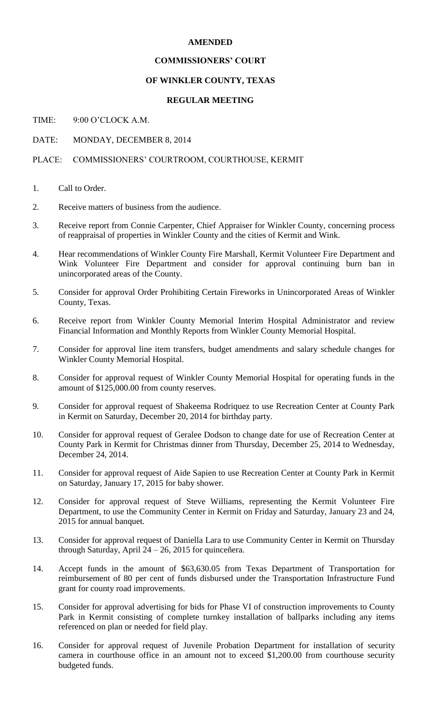## **AMENDED**

## **COMMISSIONERS' COURT**

## **OF WINKLER COUNTY, TEXAS**

#### **REGULAR MEETING**

TIME: 9:00 O'CLOCK A.M.

DATE: MONDAY, DECEMBER 8, 2014

# PLACE: COMMISSIONERS' COURTROOM, COURTHOUSE, KERMIT

- 1. Call to Order.
- 2. Receive matters of business from the audience.
- 3. Receive report from Connie Carpenter, Chief Appraiser for Winkler County, concerning process of reappraisal of properties in Winkler County and the cities of Kermit and Wink.
- 4. Hear recommendations of Winkler County Fire Marshall, Kermit Volunteer Fire Department and Wink Volunteer Fire Department and consider for approval continuing burn ban in unincorporated areas of the County.
- 5. Consider for approval Order Prohibiting Certain Fireworks in Unincorporated Areas of Winkler County, Texas.
- 6. Receive report from Winkler County Memorial Interim Hospital Administrator and review Financial Information and Monthly Reports from Winkler County Memorial Hospital.
- 7. Consider for approval line item transfers, budget amendments and salary schedule changes for Winkler County Memorial Hospital.
- 8. Consider for approval request of Winkler County Memorial Hospital for operating funds in the amount of \$125,000.00 from county reserves.
- 9. Consider for approval request of Shakeema Rodriquez to use Recreation Center at County Park in Kermit on Saturday, December 20, 2014 for birthday party.
- 10. Consider for approval request of Geralee Dodson to change date for use of Recreation Center at County Park in Kermit for Christmas dinner from Thursday, December 25, 2014 to Wednesday, December 24, 2014.
- 11. Consider for approval request of Aide Sapien to use Recreation Center at County Park in Kermit on Saturday, January 17, 2015 for baby shower.
- 12. Consider for approval request of Steve Williams, representing the Kermit Volunteer Fire Department, to use the Community Center in Kermit on Friday and Saturday, January 23 and 24, 2015 for annual banquet.
- 13. Consider for approval request of Daniella Lara to use Community Center in Kermit on Thursday through Saturday, April 24 – 26, 2015 for quinceñera.
- 14. Accept funds in the amount of \$63,630.05 from Texas Department of Transportation for reimbursement of 80 per cent of funds disbursed under the Transportation Infrastructure Fund grant for county road improvements.
- 15. Consider for approval advertising for bids for Phase VI of construction improvements to County Park in Kermit consisting of complete turnkey installation of ballparks including any items referenced on plan or needed for field play.
- 16. Consider for approval request of Juvenile Probation Department for installation of security camera in courthouse office in an amount not to exceed \$1,200.00 from courthouse security budgeted funds.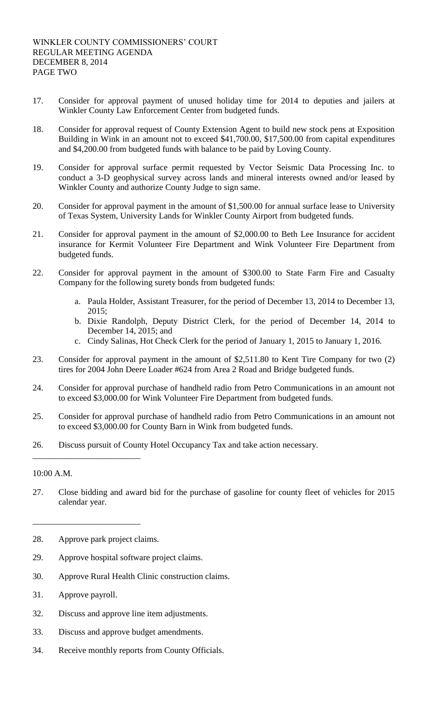- 17. Consider for approval payment of unused holiday time for 2014 to deputies and jailers at Winkler County Law Enforcement Center from budgeted funds.
- 18. Consider for approval request of County Extension Agent to build new stock pens at Exposition Building in Wink in an amount not to exceed \$41,700.00, \$17,500.00 from capital expenditures and \$4,200.00 from budgeted funds with balance to be paid by Loving County.
- 19. Consider for approval surface permit requested by Vector Seismic Data Processing Inc. to conduct a 3-D geophysical survey across lands and mineral interests owned and/or leased by Winkler County and authorize County Judge to sign same.
- 20. Consider for approval payment in the amount of \$1,500.00 for annual surface lease to University of Texas System, University Lands for Winkler County Airport from budgeted funds.
- 21. Consider for approval payment in the amount of \$2,000.00 to Beth Lee Insurance for accident insurance for Kermit Volunteer Fire Department and Wink Volunteer Fire Department from budgeted funds.
- 22. Consider for approval payment in the amount of \$300.00 to State Farm Fire and Casualty Company for the following surety bonds from budgeted funds:
	- a. Paula Holder, Assistant Treasurer, for the period of December 13, 2014 to December 13, 2015;
	- b. Dixie Randolph, Deputy District Clerk, for the period of December 14, 2014 to December 14, 2015; and
	- c. Cindy Salinas, Hot Check Clerk for the period of January 1, 2015 to January 1, 2016.
- 23. Consider for approval payment in the amount of \$2,511.80 to Kent Tire Company for two (2) tires for 2004 John Deere Loader #624 from Area 2 Road and Bridge budgeted funds.
- 24. Consider for approval purchase of handheld radio from Petro Communications in an amount not to exceed \$3,000.00 for Wink Volunteer Fire Department from budgeted funds.
- 25. Consider for approval purchase of handheld radio from Petro Communications in an amount not to exceed \$3,000.00 for County Barn in Wink from budgeted funds.
- 26. Discuss pursuit of County Hotel Occupancy Tax and take action necessary.

# 10:00 A.M.

- 27. Close bidding and award bid for the purchase of gasoline for county fleet of vehicles for 2015 calendar year.
- 28. Approve park project claims.

\_\_\_\_\_\_\_\_\_\_\_\_\_\_\_\_\_\_\_\_\_\_\_\_\_

\_\_\_\_\_\_\_\_\_\_\_\_\_\_\_\_\_\_\_\_\_\_\_\_\_

- 29. Approve hospital software project claims.
- 30. Approve Rural Health Clinic construction claims.
- 31. Approve payroll.
- 32. Discuss and approve line item adjustments.
- 33. Discuss and approve budget amendments.
- 34. Receive monthly reports from County Officials.